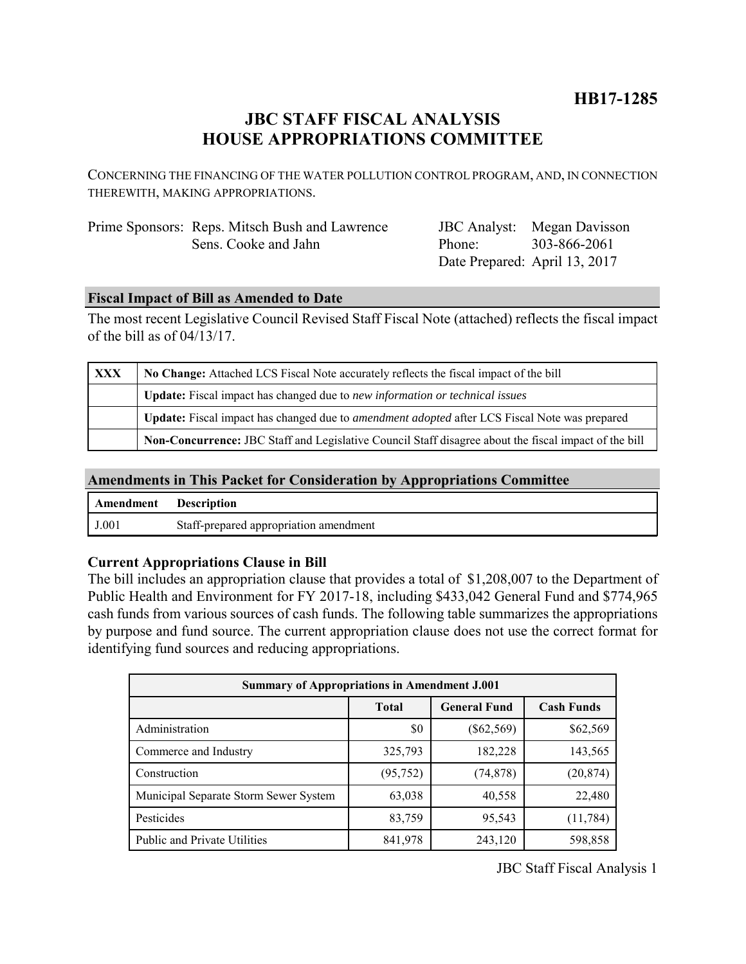## **JBC STAFF FISCAL ANALYSIS HOUSE APPROPRIATIONS COMMITTEE**

CONCERNING THE FINANCING OF THE WATER POLLUTION CONTROL PROGRAM, AND, IN CONNECTION THEREWITH, MAKING APPROPRIATIONS.

| Prime Sponsors: Reps. Mitsch Bush and Lawrence |
|------------------------------------------------|
| Sens. Cooke and Jahn                           |

JBC Analyst: Megan Davisson Phone: Date Prepared: April 13, 2017 303-866-2061

## **Fiscal Impact of Bill as Amended to Date**

The most recent Legislative Council Revised Staff Fiscal Note (attached) reflects the fiscal impact of the bill as of 04/13/17.

| XXX | No Change: Attached LCS Fiscal Note accurately reflects the fiscal impact of the bill                       |  |  |
|-----|-------------------------------------------------------------------------------------------------------------|--|--|
|     | <b>Update:</b> Fiscal impact has changed due to new information or technical issues                         |  |  |
|     | <b>Update:</b> Fiscal impact has changed due to <i>amendment adopted</i> after LCS Fiscal Note was prepared |  |  |
|     | Non-Concurrence: JBC Staff and Legislative Council Staff disagree about the fiscal impact of the bill       |  |  |

## **Amendments in This Packet for Consideration by Appropriations Committee**

| <b>Amendment</b> Description |                                        |
|------------------------------|----------------------------------------|
| J.001                        | Staff-prepared appropriation amendment |

## **Current Appropriations Clause in Bill**

The bill includes an appropriation clause that provides a total of \$1,208,007 to the Department of Public Health and Environment for FY 2017-18, including \$433,042 General Fund and \$774,965 cash funds from various sources of cash funds. The following table summarizes the appropriations by purpose and fund source. The current appropriation clause does not use the correct format for identifying fund sources and reducing appropriations.

| <b>Summary of Appropriations in Amendment J.001</b> |              |                     |                   |  |  |
|-----------------------------------------------------|--------------|---------------------|-------------------|--|--|
|                                                     | <b>Total</b> | <b>General Fund</b> | <b>Cash Funds</b> |  |  |
| Administration                                      | \$0          | $(\$62,569)$        | \$62,569          |  |  |
| Commerce and Industry                               | 325,793      | 182,228             | 143,565           |  |  |
| Construction                                        | (95, 752)    | (74, 878)           | (20, 874)         |  |  |
| Municipal Separate Storm Sewer System               | 63,038       | 40,558              | 22,480            |  |  |
| Pesticides                                          | 83,759       | 95,543              | (11, 784)         |  |  |
| <b>Public and Private Utilities</b>                 | 841,978      | 243,120             | 598,858           |  |  |

JBC Staff Fiscal Analysis 1